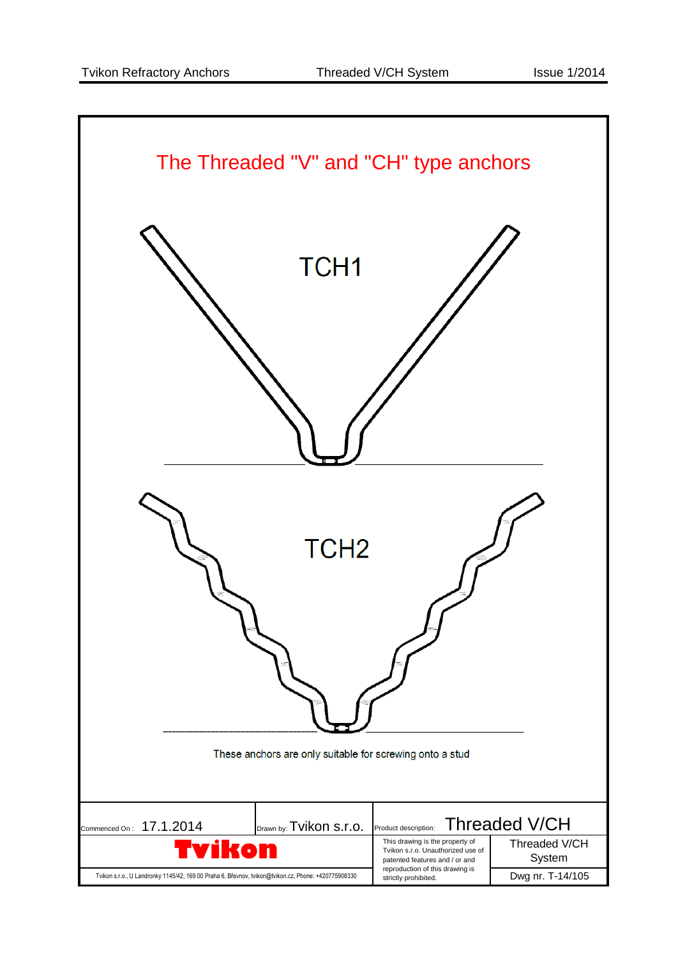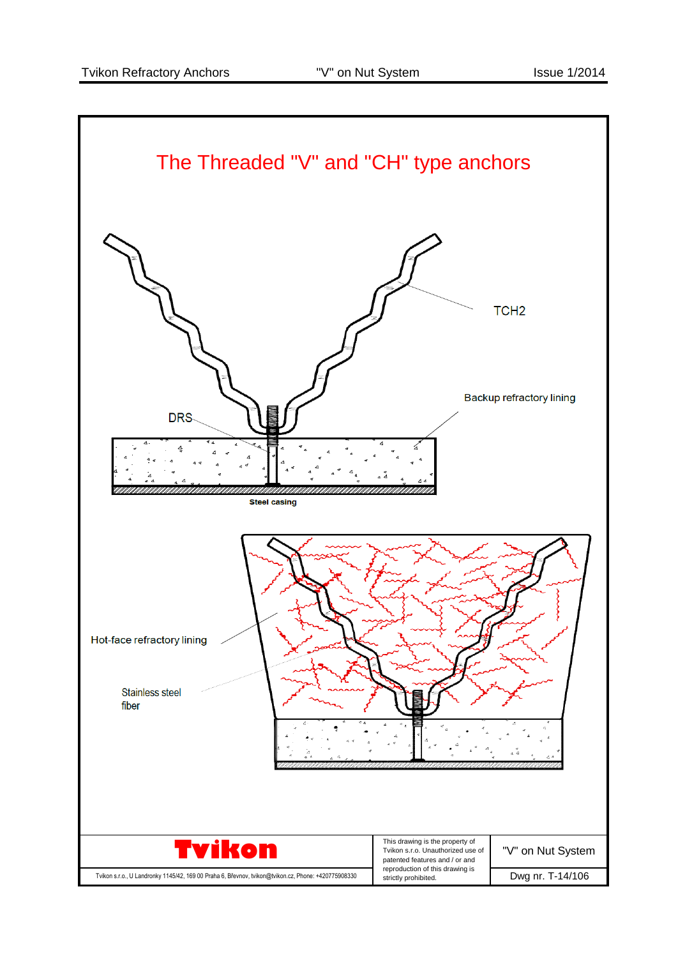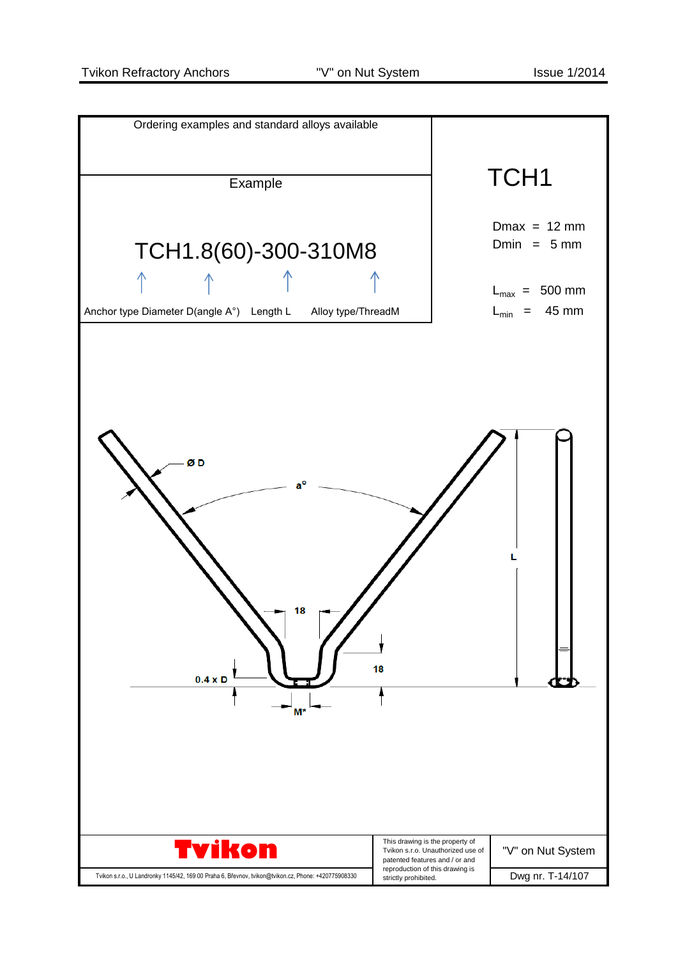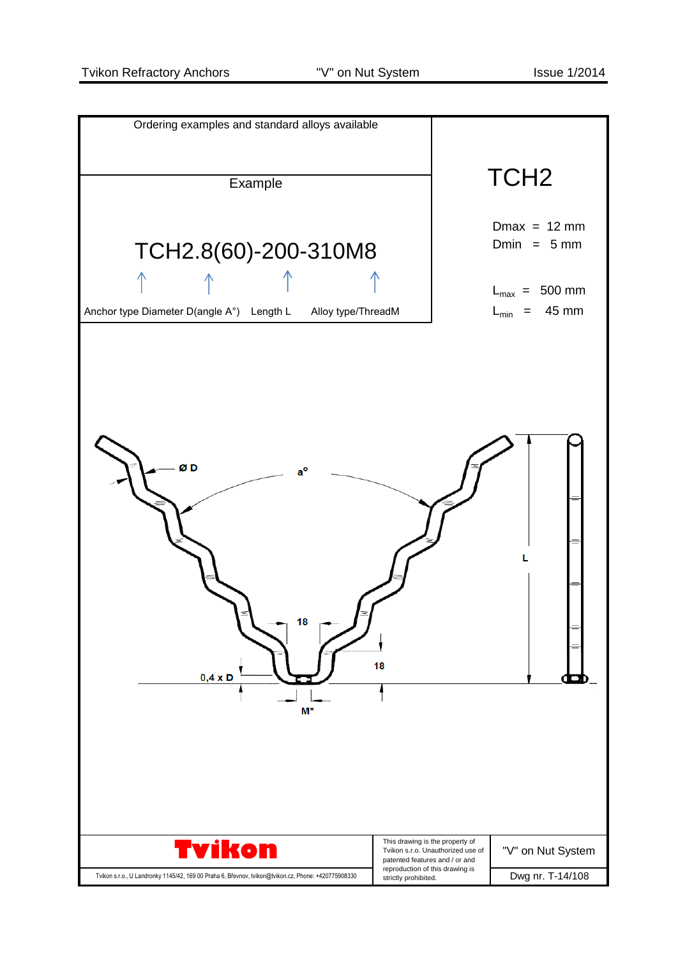